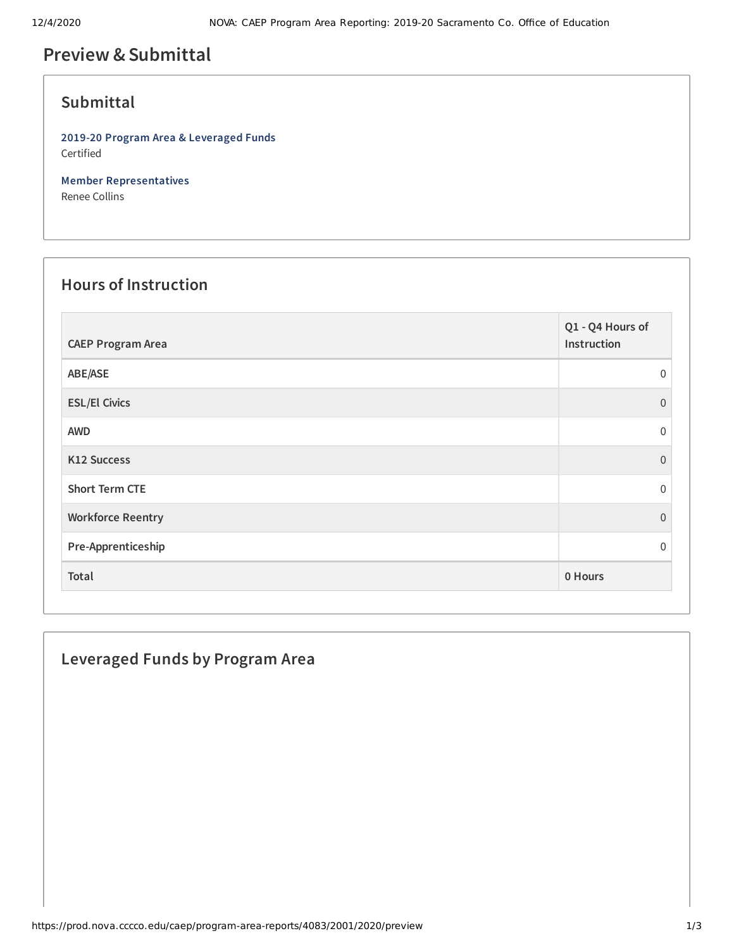# **Preview &Submittal**

#### **Submittal**

**2019-20 Program Area & Leveraged Funds** Certified

**Member Representatives** Renee Collins

#### **Hours of Instruction**

| <b>CAEP Program Area</b> | Q1 - Q4 Hours of<br>Instruction |
|--------------------------|---------------------------------|
| ABE/ASE                  | $\Omega$                        |
| <b>ESL/El Civics</b>     | $\Omega$                        |
| <b>AWD</b>               | $\Omega$                        |
| K12 Success              | $\Omega$                        |
| <b>Short Term CTE</b>    | $\Omega$                        |
| <b>Workforce Reentry</b> | $\Omega$                        |
| Pre-Apprenticeship       | $\Omega$                        |
| Total                    | 0 Hours                         |

## **Leveraged Funds by Program Area**